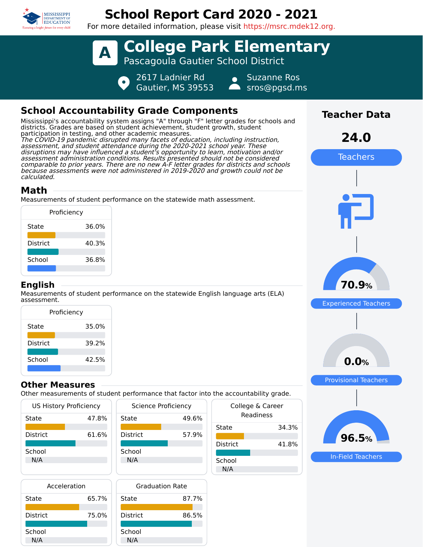

# **School Report Card 2020 - 2021**

For more detailed information, please visit https://msrc.mdek12.org.



# **School Accountability Grade Components**

Mississippi's accountability system assigns "A" through "F" letter grades for schools and districts. Grades are based on student achievement, student growth, student participation in testing, and other academic measures. The COVID-19 pandemic disrupted many facets of education, including instruction, assessment, and student attendance during the 2020-2021 school year. These disruptions may have influenced a student's opportunity to learn, motivation and/or assessment administration conditions. Results presented should not be considered comparable to prior years. There are no new A-F letter grades for districts and schools because assessments were not administered in 2019-2020 and growth could not be calculated.

# **Math**

Measurements of student performance on the statewide math assessment.

| Proficiency     |       |  |  |  |
|-----------------|-------|--|--|--|
| State           | 36.0% |  |  |  |
| <b>District</b> | 40.3% |  |  |  |
| School          | 36.8% |  |  |  |
|                 |       |  |  |  |

### **English**

Measurements of student performance on the statewide English language arts (ELA) assessment.

| Proficiency     |       |  |  |  |
|-----------------|-------|--|--|--|
| State           | 35.0% |  |  |  |
| <b>District</b> | 39.2% |  |  |  |
| School          | 42.5% |  |  |  |
|                 |       |  |  |  |

### **Other Measures**

Other measurements of student performance that factor into the accountability grade.

| <b>US History Proficiency</b>                                                                                                                                                                                                         |       | Science Proficiency                | College |                 |  |
|---------------------------------------------------------------------------------------------------------------------------------------------------------------------------------------------------------------------------------------|-------|------------------------------------|---------|-----------------|--|
| 47.8%<br>State                                                                                                                                                                                                                        |       | 49.6%<br>State                     |         | Rea             |  |
|                                                                                                                                                                                                                                       |       |                                    |         | State           |  |
| <b>District</b>                                                                                                                                                                                                                       | 61.6% | <b>District</b>                    | 57.9%   |                 |  |
|                                                                                                                                                                                                                                       |       |                                    |         | <b>District</b> |  |
| School                                                                                                                                                                                                                                |       | School                             |         |                 |  |
| N/A                                                                                                                                                                                                                                   |       | N/A                                | School  |                 |  |
|                                                                                                                                                                                                                                       |       |                                    |         | N/A             |  |
| $\mathbf{A}$ and $\mathbf{A}$ are assumed to the contract of the contract of the contract of the contract of the contract of the contract of the contract of the contract of the contract of the contract of the contract of the cont |       | $\sim$ $\sim$ $\sim$ $\sim$ $\sim$ |         |                 |  |





| cric accountability graac.    |       |  |  |  |  |
|-------------------------------|-------|--|--|--|--|
| College & Career<br>Readiness |       |  |  |  |  |
| State                         | 34.3% |  |  |  |  |
| District                      | 41.8% |  |  |  |  |
| School<br>N/A                 |       |  |  |  |  |



**Teacher Data**